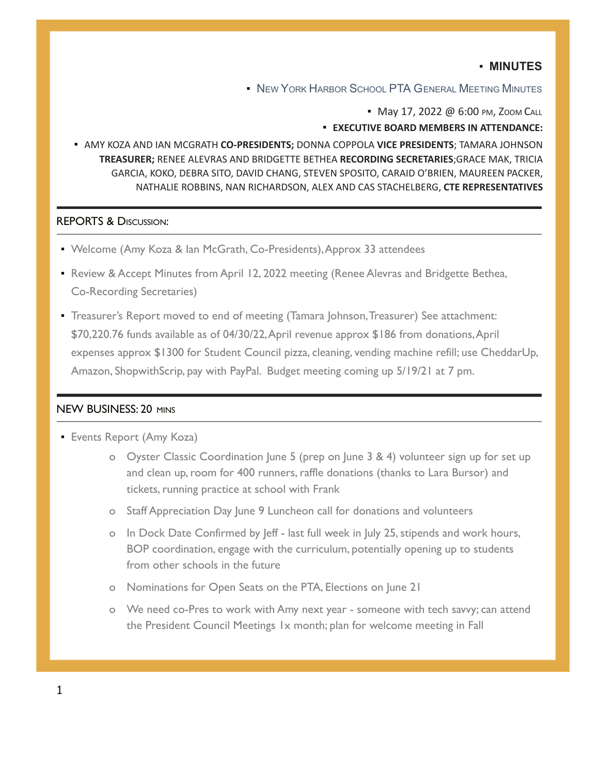## ▪ **MINUTES**

**.** NEW YORK HARBOR SCHOOL PTA GENERAL MEETING MINUTES

• May 17, 2022 @ 6:00 PM, ZOOM CALL

▪ **EXECUTIVE BOARD MEMBERS IN ATTENDANCE:**

▪ AMY KOZA AND IAN MCGRATH **CO-PRESIDENTS;** DONNA COPPOLA **VICE PRESIDENTS**; TAMARA JOHNSON **TREASURER;** RENEE ALEVRAS AND BRIDGETTE BETHEA **RECORDING SECRETARIES**;GRACE MAK, TRICIA GARCIA, KOKO, DEBRA SITO, DAVID CHANG, STEVEN SPOSITO, CARAID O'BRIEN, MAUREEN PACKER, NATHALIE ROBBINS, NAN RICHARDSON, ALEX AND CAS STACHELBERG, **CTE REPRESENTATIVES**

### REPORTS & DISCUSSION:

- Welcome (Amy Koza & Ian McGrath, Co-Presidents),Approx 33 attendees
- Review & Accept Minutes from April 12, 2022 meeting (Renee Alevras and Bridgette Bethea, Co-Recording Secretaries)
- **Treasurer's Report moved to end of meeting (Tamara Johnson, Treasurer) See attachment:** \$70,220.76 funds available as of 04/30/22,April revenue approx \$186 from donations,April expenses approx \$1300 for Student Council pizza, cleaning, vending machine refill; use CheddarUp, Amazon, ShopwithScrip, pay with PayPal. Budget meeting coming up 5/19/21 at 7 pm.

### NEW BUSINESS: 20 MINS

- **Events Report (Amy Koza)** 
	- o Oyster Classic Coordination June 5 (prep on June 3 & 4) volunteer sign up for set up and clean up, room for 400 runners, raffle donations (thanks to Lara Bursor) and tickets, running practice at school with Frank
	- o Staff Appreciation Day June 9 Luncheon call for donations and volunteers
	- o In Dock Date Confirmed by Jeff last full week in July 25, stipends and work hours, BOP coordination, engage with the curriculum, potentially opening up to students from other schools in the future
	- o Nominations for Open Seats on the PTA, Elections on June 21
	- o We need co-Pres to work with Amy next year someone with tech savvy; can attend the President Council Meetings 1x month; plan for welcome meeting in Fall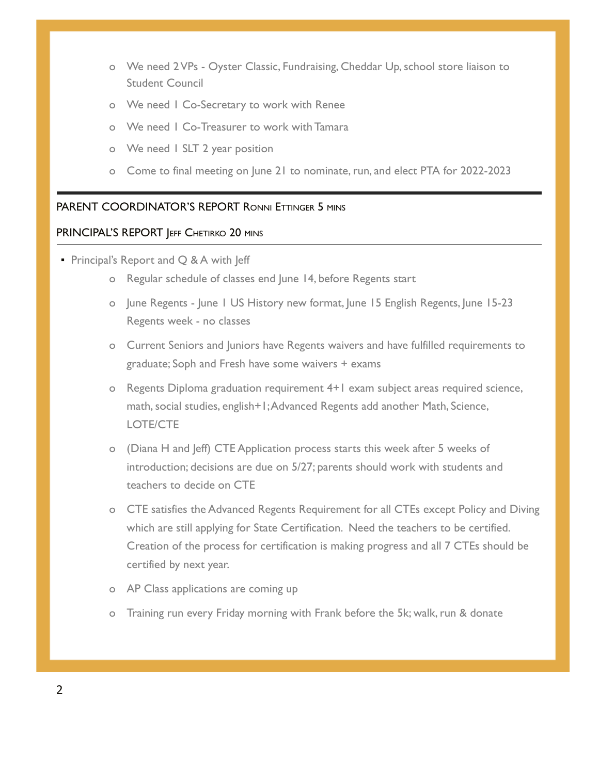- o We need 2 VPs Oyster Classic, Fundraising, Cheddar Up, school store liaison to Student Council
- o We need 1 Co-Secretary to work with Renee
- o We need 1 Co-Treasurer to work with Tamara
- o We need 1 SLT 2 year position
- o Come to final meeting on June 21 to nominate, run, and elect PTA for 2022-2023

### PARENT COORDINATOR'S REPORT RONNI ETTINGER 5 MINS

#### PRINCIPAL'S REPORT JEFF CHETIRKO 20 MINS

- **Principal's Report and Q & A with Jeff** 
	- o Regular schedule of classes end June 14, before Regents start
	- o June Regents June 1 US History new format, June 15 English Regents, June 15-23 Regents week - no classes
	- o Current Seniors and Juniors have Regents waivers and have fulfilled requirements to graduate; Soph and Fresh have some waivers + exams
	- o Regents Diploma graduation requirement 4+1 exam subject areas required science, math, social studies, english+1;Advanced Regents add another Math, Science, LOTE/CTE
	- o (Diana H and Jeff) CTE Application process starts this week after 5 weeks of introduction; decisions are due on 5/27; parents should work with students and teachers to decide on CTE
	- o CTE satisfies the Advanced Regents Requirement for all CTEs except Policy and Diving which are still applying for State Certification. Need the teachers to be certified. Creation of the process for certification is making progress and all 7 CTEs should be certified by next year.
	- o AP Class applications are coming up
	- o Training run every Friday morning with Frank before the 5k; walk, run & donate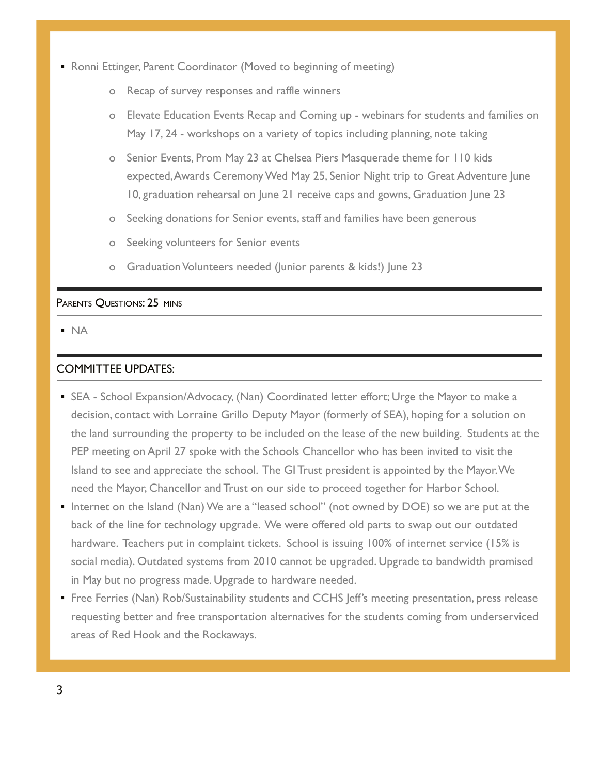- **Ronni Ettinger, Parent Coordinator (Moved to beginning of meeting)** 
	- o Recap of survey responses and raffle winners
	- o Elevate Education Events Recap and Coming up webinars for students and families on May 17, 24 - workshops on a variety of topics including planning, note taking
	- o Senior Events, Prom May 23 at Chelsea Piers Masquerade theme for 110 kids expected,Awards Ceremony Wed May 25, Senior Night trip to Great Adventure June 10, graduation rehearsal on June 21 receive caps and gowns, Graduation June 23
	- o Seeking donations for Senior events, staff and families have been generous
	- o Seeking volunteers for Senior events
	- o Graduation Volunteers needed (Junior parents & kids!) June 23

### PARENTS QUESTIONS: 25 MINS

▪ NA

# COMMITTEE UPDATES:

- SEA School Expansion/Advocacy, (Nan) Coordinated letter effort; Urge the Mayor to make a decision, contact with Lorraine Grillo Deputy Mayor (formerly of SEA), hoping for a solution on the land surrounding the property to be included on the lease of the new building. Students at the PEP meeting on April 27 spoke with the Schools Chancellor who has been invited to visit the Island to see and appreciate the school. The GI Trust president is appointed by the Mayor.We need the Mayor, Chancellor and Trust on our side to proceed together for Harbor School.
- Internet on the Island (Nan) We are a "leased school" (not owned by DOE) so we are put at the back of the line for technology upgrade. We were offered old parts to swap out our outdated hardware. Teachers put in complaint tickets. School is issuing 100% of internet service (15% is social media). Outdated systems from 2010 cannot be upgraded. Upgrade to bandwidth promised in May but no progress made. Upgrade to hardware needed.
- **Free Ferries (Nan) Rob/Sustainability students and CCHS Jeff's meeting presentation, press release** requesting better and free transportation alternatives for the students coming from underserviced areas of Red Hook and the Rockaways.